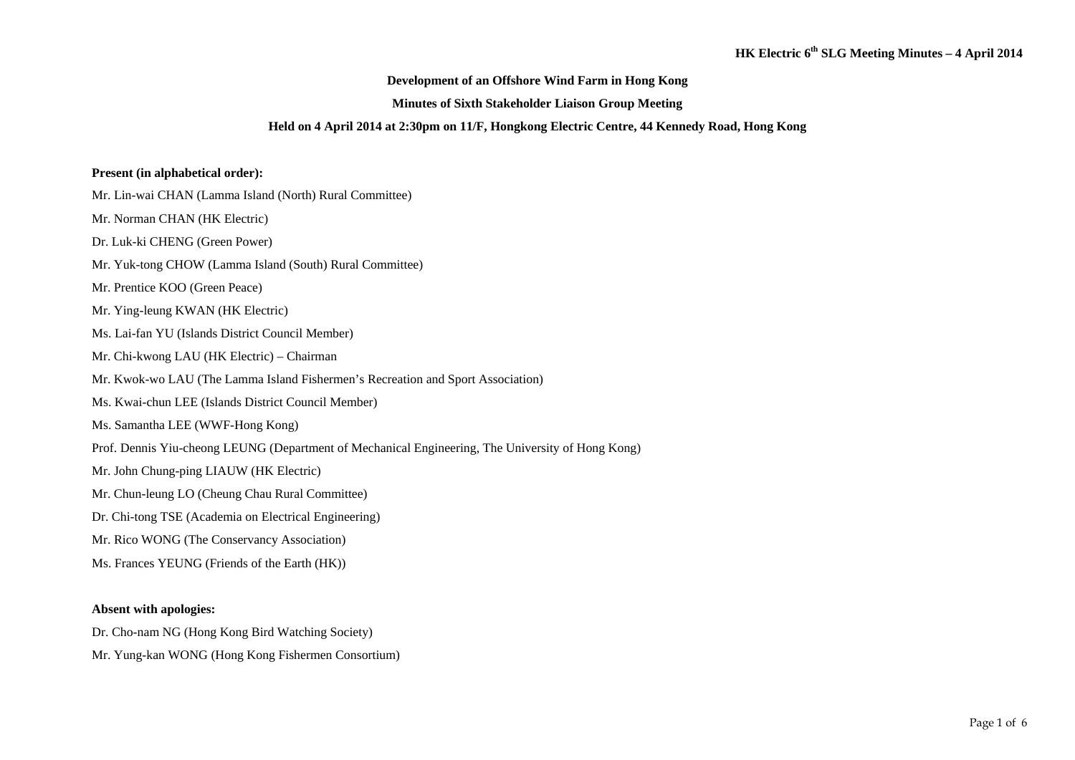### **Development of an Offshore Wind Farm in Hong Kong**

### **Minutes of Sixth Stakeholder Liaison Group Meeting**

#### **Held on 4 April 2014 at 2:30pm on 11/F, Hongkong Electric Centre, 44 Kennedy Road, Hong Kong**

### **Present (in alphabetical order):**

- Mr. Lin-wai CHAN (Lamma Island (North) Rural Committee)
- Mr. Norman CHAN (HK Electric)
- Dr. Luk-ki CHENG (Green Power)
- Mr. Yuk-tong CHOW (Lamma Island (South) Rural Committee)
- Mr. Prentice KOO (Green Peace)
- Mr. Ying-leung KWAN (HK Electric)
- Ms. Lai-fan YU (Islands District Council Member)
- Mr. Chi-kwong LAU (HK Electric) Chairman
- Mr. Kwok-wo LAU (The Lamma Island Fishermen's Recreation and Sport Association)
- Ms. Kwai-chun LEE (Islands District Council Member)
- Ms. Samantha LEE (WWF-Hong Kong)
- Prof. Dennis Yiu-cheong LEUNG (Department of Mechanical Engineering, The University of Hong Kong)
- Mr. John Chung-ping LIAUW (HK Electric)
- Mr. Chun-leung LO (Cheung Chau Rural Committee)
- Dr. Chi-tong TSE (Academia on Electrical Engineering)
- Mr. Rico WONG (The Conservancy Association)
- Ms. Frances YEUNG (Friends of the Earth (HK))

### **Absent with apologies:**

- Dr. Cho-nam NG (Hong Kong Bird Watching Society)
- Mr. Yung-kan WONG (Hong Kong Fishermen Consortium)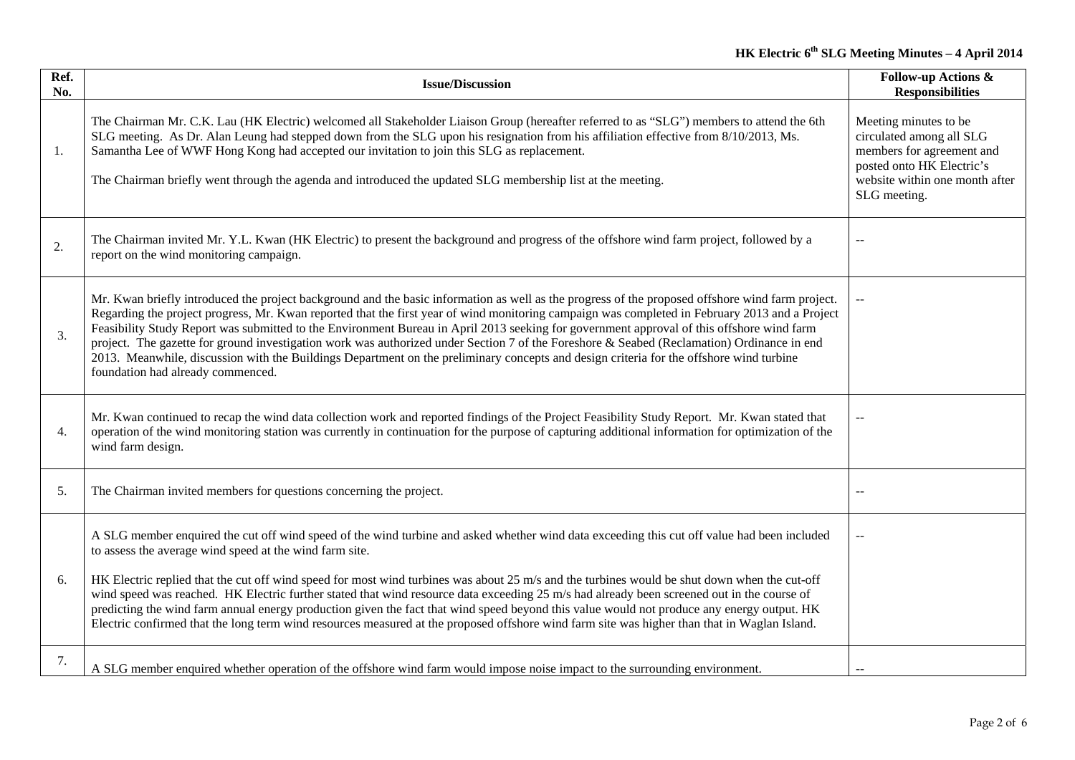| Ref.<br>No.      | <b>Issue/Discussion</b>                                                                                                                                                                                                                                                                                                                                                                                                                                                                                                                                                                                                                                                                                                                                                                            | <b>Follow-up Actions &amp;</b><br><b>Responsibilities</b>                                                                                                     |
|------------------|----------------------------------------------------------------------------------------------------------------------------------------------------------------------------------------------------------------------------------------------------------------------------------------------------------------------------------------------------------------------------------------------------------------------------------------------------------------------------------------------------------------------------------------------------------------------------------------------------------------------------------------------------------------------------------------------------------------------------------------------------------------------------------------------------|---------------------------------------------------------------------------------------------------------------------------------------------------------------|
| 1.               | The Chairman Mr. C.K. Lau (HK Electric) welcomed all Stakeholder Liaison Group (hereafter referred to as "SLG") members to attend the 6th<br>SLG meeting. As Dr. Alan Leung had stepped down from the SLG upon his resignation from his affiliation effective from 8/10/2013, Ms.<br>Samantha Lee of WWF Hong Kong had accepted our invitation to join this SLG as replacement.<br>The Chairman briefly went through the agenda and introduced the updated SLG membership list at the meeting.                                                                                                                                                                                                                                                                                                     | Meeting minutes to be<br>circulated among all SLG<br>members for agreement and<br>posted onto HK Electric's<br>website within one month after<br>SLG meeting. |
| 2.               | The Chairman invited Mr. Y.L. Kwan (HK Electric) to present the background and progress of the offshore wind farm project, followed by a<br>report on the wind monitoring campaign.                                                                                                                                                                                                                                                                                                                                                                                                                                                                                                                                                                                                                |                                                                                                                                                               |
| 3.               | Mr. Kwan briefly introduced the project background and the basic information as well as the progress of the proposed offshore wind farm project.<br>Regarding the project progress, Mr. Kwan reported that the first year of wind monitoring campaign was completed in February 2013 and a Project<br>Feasibility Study Report was submitted to the Environment Bureau in April 2013 seeking for government approval of this offshore wind farm<br>project. The gazette for ground investigation work was authorized under Section 7 of the Foreshore & Seabed (Reclamation) Ordinance in end<br>2013. Meanwhile, discussion with the Buildings Department on the preliminary concepts and design criteria for the offshore wind turbine<br>foundation had already commenced.                      |                                                                                                                                                               |
| $\overline{4}$ . | Mr. Kwan continued to recap the wind data collection work and reported findings of the Project Feasibility Study Report. Mr. Kwan stated that<br>operation of the wind monitoring station was currently in continuation for the purpose of capturing additional information for optimization of the<br>wind farm design.                                                                                                                                                                                                                                                                                                                                                                                                                                                                           |                                                                                                                                                               |
| 5.               | The Chairman invited members for questions concerning the project.                                                                                                                                                                                                                                                                                                                                                                                                                                                                                                                                                                                                                                                                                                                                 |                                                                                                                                                               |
| 6.               | A SLG member enquired the cut off wind speed of the wind turbine and asked whether wind data exceeding this cut off value had been included<br>to assess the average wind speed at the wind farm site.<br>HK Electric replied that the cut off wind speed for most wind turbines was about 25 m/s and the turbines would be shut down when the cut-off<br>wind speed was reached. HK Electric further stated that wind resource data exceeding 25 m/s had already been screened out in the course of<br>predicting the wind farm annual energy production given the fact that wind speed beyond this value would not produce any energy output. HK<br>Electric confirmed that the long term wind resources measured at the proposed offshore wind farm site was higher than that in Waglan Island. | $-$                                                                                                                                                           |
| 7.               | A SLG member enquired whether operation of the offshore wind farm would impose noise impact to the surrounding environment.                                                                                                                                                                                                                                                                                                                                                                                                                                                                                                                                                                                                                                                                        |                                                                                                                                                               |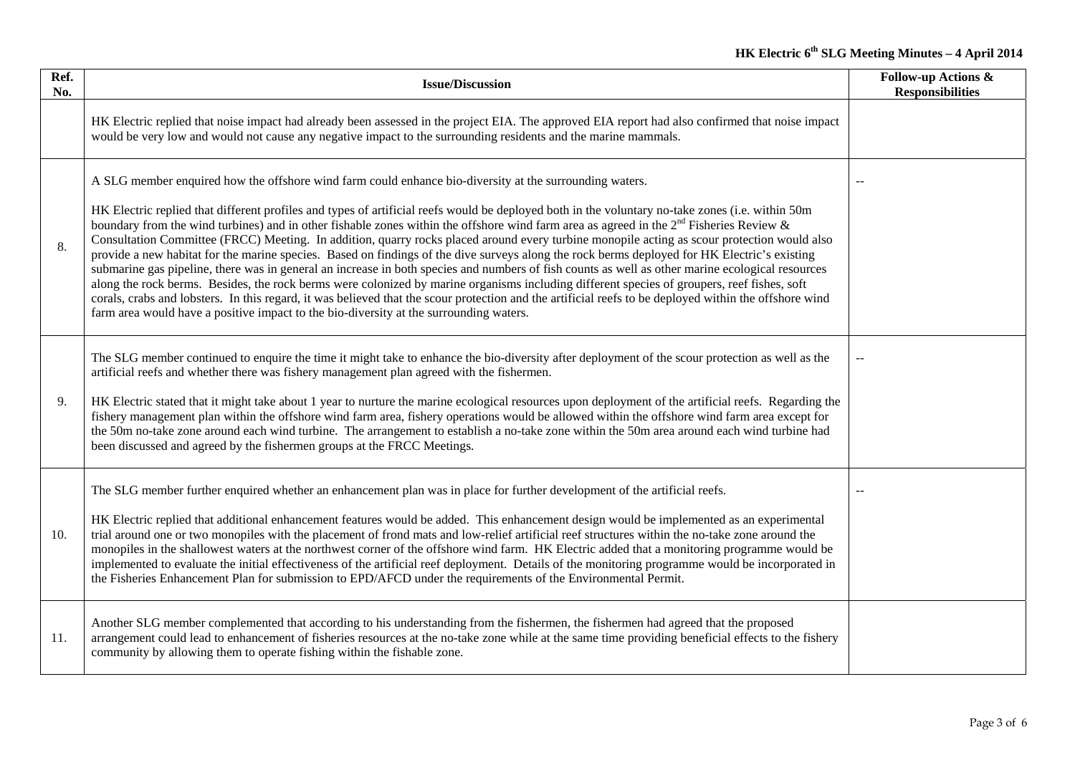| Ref.<br>No. | <b>Issue/Discussion</b>                                                                                                                                                                                                                                                                                                                                                                                                                                                                                                                                                                                                                                                                                                                                                                                                                                                                                                                                                                                                                                                                                                                                                                                                                                        | <b>Follow-up Actions &amp;</b><br><b>Responsibilities</b> |
|-------------|----------------------------------------------------------------------------------------------------------------------------------------------------------------------------------------------------------------------------------------------------------------------------------------------------------------------------------------------------------------------------------------------------------------------------------------------------------------------------------------------------------------------------------------------------------------------------------------------------------------------------------------------------------------------------------------------------------------------------------------------------------------------------------------------------------------------------------------------------------------------------------------------------------------------------------------------------------------------------------------------------------------------------------------------------------------------------------------------------------------------------------------------------------------------------------------------------------------------------------------------------------------|-----------------------------------------------------------|
|             | HK Electric replied that noise impact had already been assessed in the project EIA. The approved EIA report had also confirmed that noise impact<br>would be very low and would not cause any negative impact to the surrounding residents and the marine mammals.                                                                                                                                                                                                                                                                                                                                                                                                                                                                                                                                                                                                                                                                                                                                                                                                                                                                                                                                                                                             |                                                           |
| 8.          | A SLG member enquired how the offshore wind farm could enhance bio-diversity at the surrounding waters.<br>HK Electric replied that different profiles and types of artificial reefs would be deployed both in the voluntary no-take zones (i.e. within 50m<br>boundary from the wind turbines) and in other fishable zones within the offshore wind farm area as agreed in the $2nd$ Fisheries Review &<br>Consultation Committee (FRCC) Meeting. In addition, quarry rocks placed around every turbine monopile acting as scour protection would also<br>provide a new habitat for the marine species. Based on findings of the dive surveys along the rock berms deployed for HK Electric's existing<br>submarine gas pipeline, there was in general an increase in both species and numbers of fish counts as well as other marine ecological resources<br>along the rock berms. Besides, the rock berms were colonized by marine organisms including different species of groupers, reef fishes, soft<br>corals, crabs and lobsters. In this regard, it was believed that the scour protection and the artificial reefs to be deployed within the offshore wind<br>farm area would have a positive impact to the bio-diversity at the surrounding waters. |                                                           |
| 9.          | The SLG member continued to enquire the time it might take to enhance the bio-diversity after deployment of the scour protection as well as the<br>artificial reefs and whether there was fishery management plan agreed with the fishermen.<br>HK Electric stated that it might take about 1 year to nurture the marine ecological resources upon deployment of the artificial reefs. Regarding the<br>fishery management plan within the offshore wind farm area, fishery operations would be allowed within the offshore wind farm area except for<br>the 50m no-take zone around each wind turbine. The arrangement to establish a no-take zone within the 50m area around each wind turbine had<br>been discussed and agreed by the fishermen groups at the FRCC Meetings.                                                                                                                                                                                                                                                                                                                                                                                                                                                                                |                                                           |
| 10.         | The SLG member further enquired whether an enhancement plan was in place for further development of the artificial reefs.<br>HK Electric replied that additional enhancement features would be added. This enhancement design would be implemented as an experimental<br>trial around one or two monopiles with the placement of frond mats and low-relief artificial reef structures within the no-take zone around the<br>monopiles in the shallowest waters at the northwest corner of the offshore wind farm. HK Electric added that a monitoring programme would be<br>implemented to evaluate the initial effectiveness of the artificial reef deployment. Details of the monitoring programme would be incorporated in<br>the Fisheries Enhancement Plan for submission to EPD/AFCD under the requirements of the Environmental Permit.                                                                                                                                                                                                                                                                                                                                                                                                                 |                                                           |
| 11.         | Another SLG member complemented that according to his understanding from the fishermen, the fishermen had agreed that the proposed<br>arrangement could lead to enhancement of fisheries resources at the no-take zone while at the same time providing beneficial effects to the fishery<br>community by allowing them to operate fishing within the fishable zone.                                                                                                                                                                                                                                                                                                                                                                                                                                                                                                                                                                                                                                                                                                                                                                                                                                                                                           |                                                           |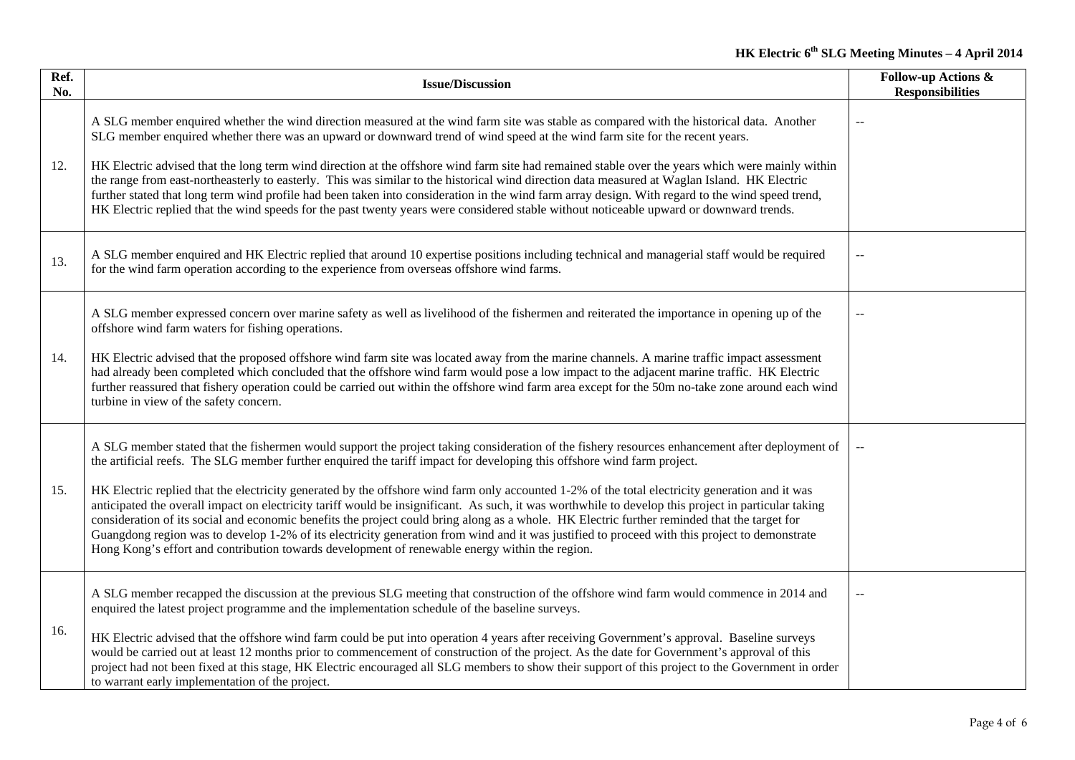| Ref.<br>No. | <b>Issue/Discussion</b>                                                                                                                                                                                                                                                                                                                                                                                                                                                                                                                                                                                                                                                                                                                                                                                                                                                                                                                                                                 | <b>Follow-up Actions &amp;</b><br><b>Responsibilities</b> |
|-------------|-----------------------------------------------------------------------------------------------------------------------------------------------------------------------------------------------------------------------------------------------------------------------------------------------------------------------------------------------------------------------------------------------------------------------------------------------------------------------------------------------------------------------------------------------------------------------------------------------------------------------------------------------------------------------------------------------------------------------------------------------------------------------------------------------------------------------------------------------------------------------------------------------------------------------------------------------------------------------------------------|-----------------------------------------------------------|
| 12.         | A SLG member enquired whether the wind direction measured at the wind farm site was stable as compared with the historical data. Another<br>SLG member enquired whether there was an upward or downward trend of wind speed at the wind farm site for the recent years.<br>HK Electric advised that the long term wind direction at the offshore wind farm site had remained stable over the years which were mainly within<br>the range from east-northeasterly to easterly. This was similar to the historical wind direction data measured at Waglan Island. HK Electric<br>further stated that long term wind profile had been taken into consideration in the wind farm array design. With regard to the wind speed trend,<br>HK Electric replied that the wind speeds for the past twenty years were considered stable without noticeable upward or downward trends.                                                                                                              |                                                           |
| 13.         | A SLG member enquired and HK Electric replied that around 10 expertise positions including technical and managerial staff would be required<br>for the wind farm operation according to the experience from overseas offshore wind farms.                                                                                                                                                                                                                                                                                                                                                                                                                                                                                                                                                                                                                                                                                                                                               |                                                           |
| 14.         | A SLG member expressed concern over marine safety as well as livelihood of the fishermen and reiterated the importance in opening up of the<br>offshore wind farm waters for fishing operations.<br>HK Electric advised that the proposed offshore wind farm site was located away from the marine channels. A marine traffic impact assessment<br>had already been completed which concluded that the offshore wind farm would pose a low impact to the adjacent marine traffic. HK Electric<br>further reassured that fishery operation could be carried out within the offshore wind farm area except for the 50m no-take zone around each wind<br>turbine in view of the safety concern.                                                                                                                                                                                                                                                                                            |                                                           |
| 15.         | A SLG member stated that the fishermen would support the project taking consideration of the fishery resources enhancement after deployment of<br>the artificial reefs. The SLG member further enquired the tariff impact for developing this offshore wind farm project.<br>HK Electric replied that the electricity generated by the offshore wind farm only accounted 1-2% of the total electricity generation and it was<br>anticipated the overall impact on electricity tariff would be insignificant. As such, it was worthwhile to develop this project in particular taking<br>consideration of its social and economic benefits the project could bring along as a whole. HK Electric further reminded that the target for<br>Guangdong region was to develop 1-2% of its electricity generation from wind and it was justified to proceed with this project to demonstrate<br>Hong Kong's effort and contribution towards development of renewable energy within the region. |                                                           |
| 16.         | A SLG member recapped the discussion at the previous SLG meeting that construction of the offshore wind farm would commence in 2014 and<br>enquired the latest project programme and the implementation schedule of the baseline surveys.<br>HK Electric advised that the offshore wind farm could be put into operation 4 years after receiving Government's approval. Baseline surveys<br>would be carried out at least 12 months prior to commencement of construction of the project. As the date for Government's approval of this<br>project had not been fixed at this stage, HK Electric encouraged all SLG members to show their support of this project to the Government in order<br>to warrant early implementation of the project.                                                                                                                                                                                                                                         |                                                           |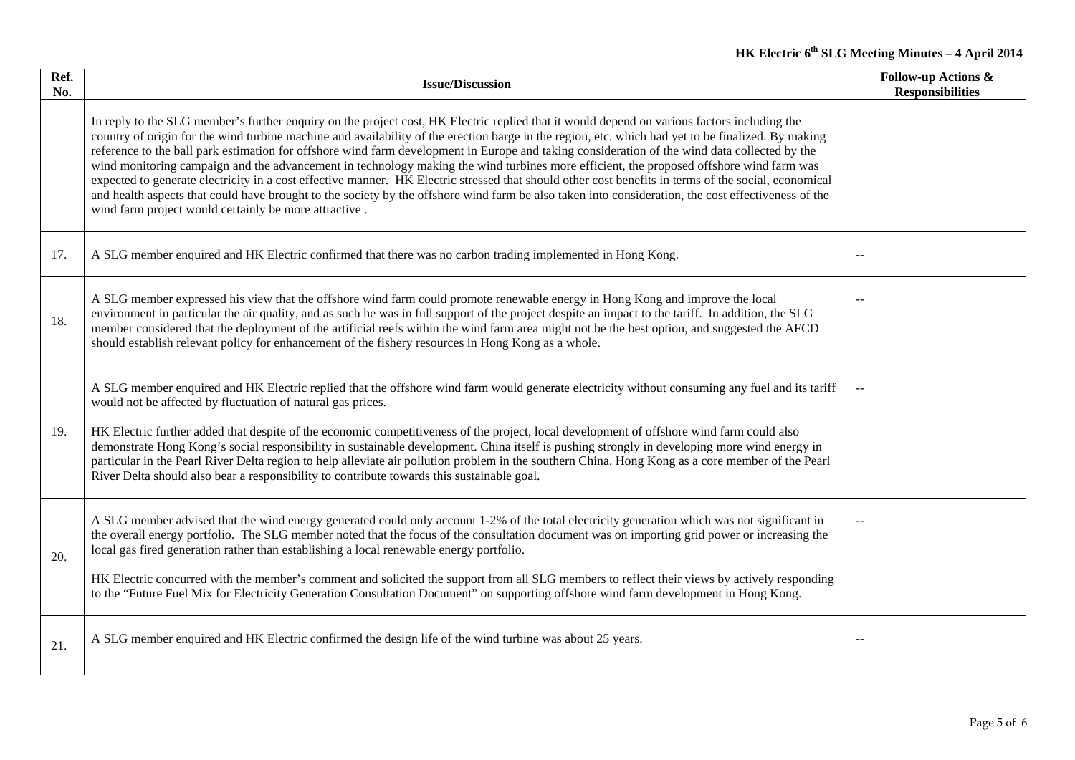| Ref.<br>No. | <b>Issue/Discussion</b>                                                                                                                                                                                                                                                                                                                                                                                                                                                                                                                                                                                                                                                                                                                                                                                                                                                                                                                                               | <b>Follow-up Actions &amp;</b><br><b>Responsibilities</b> |
|-------------|-----------------------------------------------------------------------------------------------------------------------------------------------------------------------------------------------------------------------------------------------------------------------------------------------------------------------------------------------------------------------------------------------------------------------------------------------------------------------------------------------------------------------------------------------------------------------------------------------------------------------------------------------------------------------------------------------------------------------------------------------------------------------------------------------------------------------------------------------------------------------------------------------------------------------------------------------------------------------|-----------------------------------------------------------|
|             | In reply to the SLG member's further enquiry on the project cost, HK Electric replied that it would depend on various factors including the<br>country of origin for the wind turbine machine and availability of the erection barge in the region, etc. which had yet to be finalized. By making<br>reference to the ball park estimation for offshore wind farm development in Europe and taking consideration of the wind data collected by the<br>wind monitoring campaign and the advancement in technology making the wind turbines more efficient, the proposed offshore wind farm was<br>expected to generate electricity in a cost effective manner. HK Electric stressed that should other cost benefits in terms of the social, economical<br>and health aspects that could have brought to the society by the offshore wind farm be also taken into consideration, the cost effectiveness of the<br>wind farm project would certainly be more attractive. |                                                           |
| 17.         | A SLG member enquired and HK Electric confirmed that there was no carbon trading implemented in Hong Kong.                                                                                                                                                                                                                                                                                                                                                                                                                                                                                                                                                                                                                                                                                                                                                                                                                                                            | ц.                                                        |
| 18.         | A SLG member expressed his view that the offshore wind farm could promote renewable energy in Hong Kong and improve the local<br>environment in particular the air quality, and as such he was in full support of the project despite an impact to the tariff. In addition, the SLG<br>member considered that the deployment of the artificial reefs within the wind farm area might not be the best option, and suggested the AFCD<br>should establish relevant policy for enhancement of the fishery resources in Hong Kong as a whole.                                                                                                                                                                                                                                                                                                                                                                                                                             | ц.                                                        |
| 19.         | A SLG member enquired and HK Electric replied that the offshore wind farm would generate electricity without consuming any fuel and its tariff<br>would not be affected by fluctuation of natural gas prices.<br>HK Electric further added that despite of the economic competitiveness of the project, local development of offshore wind farm could also<br>demonstrate Hong Kong's social responsibility in sustainable development. China itself is pushing strongly in developing more wind energy in<br>particular in the Pearl River Delta region to help alleviate air pollution problem in the southern China. Hong Kong as a core member of the Pearl<br>River Delta should also bear a responsibility to contribute towards this sustainable goal.                                                                                                                                                                                                         |                                                           |
| 20.         | A SLG member advised that the wind energy generated could only account 1-2% of the total electricity generation which was not significant in<br>the overall energy portfolio. The SLG member noted that the focus of the consultation document was on importing grid power or increasing the<br>local gas fired generation rather than establishing a local renewable energy portfolio.<br>HK Electric concurred with the member's comment and solicited the support from all SLG members to reflect their views by actively responding<br>to the "Future Fuel Mix for Electricity Generation Consultation Document" on supporting offshore wind farm development in Hong Kong.                                                                                                                                                                                                                                                                                       |                                                           |
| 21.         | A SLG member enquired and HK Electric confirmed the design life of the wind turbine was about 25 years.                                                                                                                                                                                                                                                                                                                                                                                                                                                                                                                                                                                                                                                                                                                                                                                                                                                               |                                                           |